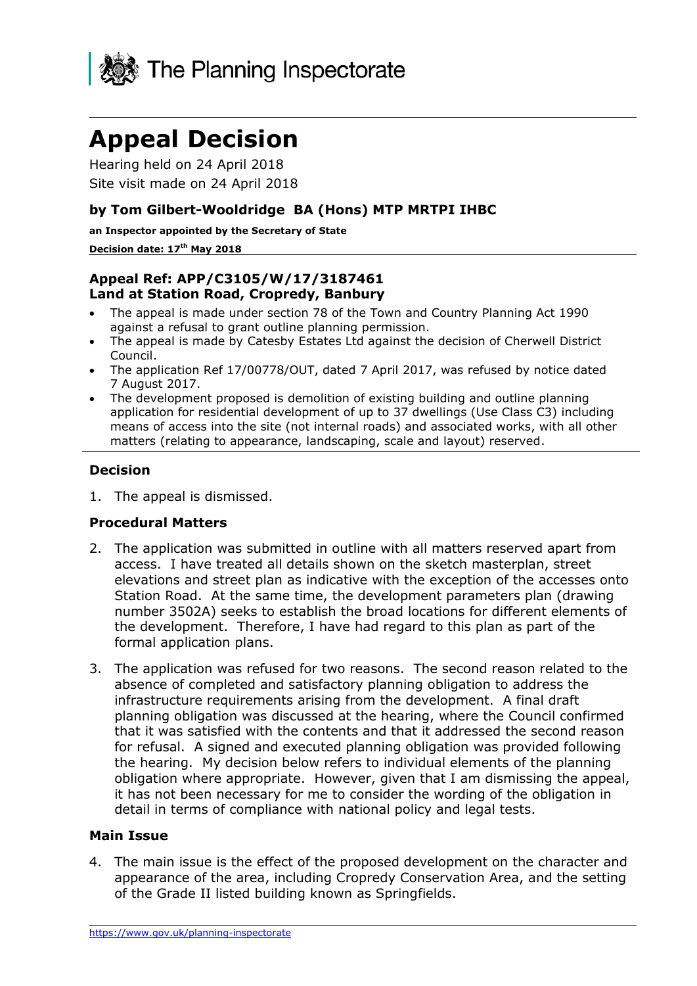

# **Appeal Decision**

Hearing held on 24 April 2018 Site visit made on 24 April 2018

## **by Tom Gilbert-Wooldridge BA (Hons) MTP MRTPI IHBC**

**an Inspector appointed by the Secretary of State**

#### **Decision date: 17th May 2018**

## **Appeal Ref: APP/C3105/W/17/3187461 Land at Station Road, Cropredy, Banbury**

- The appeal is made under section 78 of the Town and Country Planning Act 1990 against a refusal to grant outline planning permission.
- The appeal is made by Catesby Estates Ltd against the decision of Cherwell District Council.
- The application Ref 17/00778/OUT, dated 7 April 2017, was refused by notice dated 7 August 2017.
- The development proposed is demolition of existing building and outline planning application for residential development of up to 37 dwellings (Use Class C3) including means of access into the site (not internal roads) and associated works, with all other matters (relating to appearance, landscaping, scale and layout) reserved.

## **Decision**

1. The appeal is dismissed.

### **Procedural Matters**

- 2. The application was submitted in outline with all matters reserved apart from access. I have treated all details shown on the sketch masterplan, street elevations and street plan as indicative with the exception of the accesses onto Station Road. At the same time, the development parameters plan (drawing number 3502A) seeks to establish the broad locations for different elements of the development. Therefore, I have had regard to this plan as part of the formal application plans.
- 3. The application was refused for two reasons. The second reason related to the absence of completed and satisfactory planning obligation to address the infrastructure requirements arising from the development. A final draft planning obligation was discussed at the hearing, where the Council confirmed that it was satisfied with the contents and that it addressed the second reason for refusal. A signed and executed planning obligation was provided following the hearing. My decision below refers to individual elements of the planning obligation where appropriate. However, given that I am dismissing the appeal, it has not been necessary for me to consider the wording of the obligation in detail in terms of compliance with national policy and legal tests.

### **Main Issue**

4. The main issue is the effect of the proposed development on the character and appearance of the area, including Cropredy Conservation Area, and the setting of the Grade II listed building known as Springfields.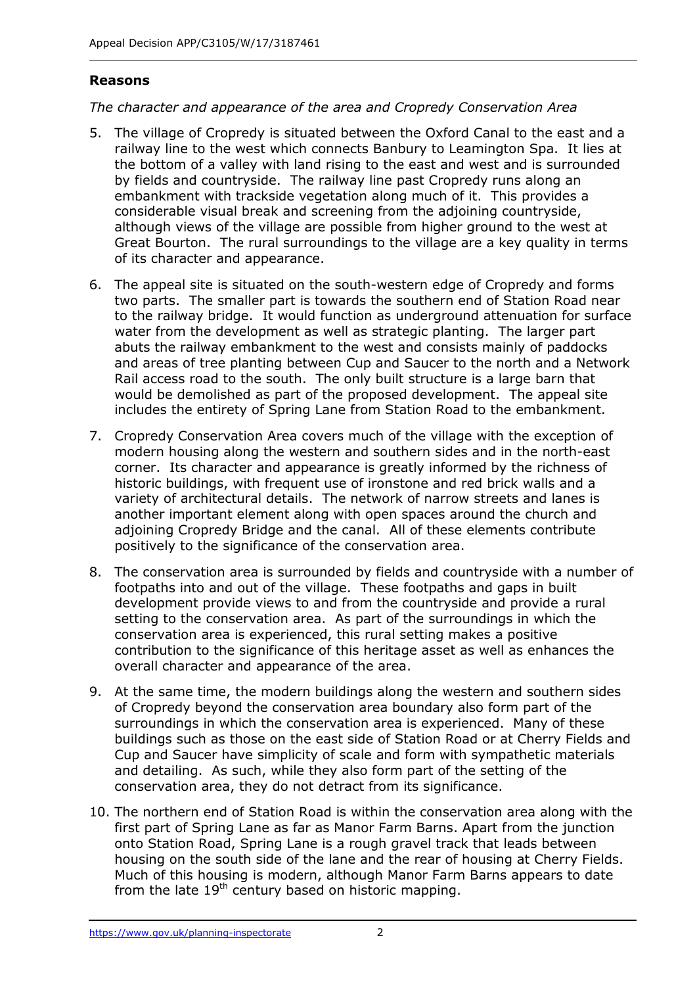# **Reasons**

*The character and appearance of the area and Cropredy Conservation Area*

- 5. The village of Cropredy is situated between the Oxford Canal to the east and a railway line to the west which connects Banbury to Leamington Spa. It lies at the bottom of a valley with land rising to the east and west and is surrounded by fields and countryside. The railway line past Cropredy runs along an embankment with trackside vegetation along much of it. This provides a considerable visual break and screening from the adjoining countryside, although views of the village are possible from higher ground to the west at Great Bourton. The rural surroundings to the village are a key quality in terms of its character and appearance.
- 6. The appeal site is situated on the south-western edge of Cropredy and forms two parts. The smaller part is towards the southern end of Station Road near to the railway bridge. It would function as underground attenuation for surface water from the development as well as strategic planting. The larger part abuts the railway embankment to the west and consists mainly of paddocks and areas of tree planting between Cup and Saucer to the north and a Network Rail access road to the south. The only built structure is a large barn that would be demolished as part of the proposed development. The appeal site includes the entirety of Spring Lane from Station Road to the embankment.
- 7. Cropredy Conservation Area covers much of the village with the exception of modern housing along the western and southern sides and in the north-east corner. Its character and appearance is greatly informed by the richness of historic buildings, with frequent use of ironstone and red brick walls and a variety of architectural details. The network of narrow streets and lanes is another important element along with open spaces around the church and adjoining Cropredy Bridge and the canal. All of these elements contribute positively to the significance of the conservation area.
- 8. The conservation area is surrounded by fields and countryside with a number of footpaths into and out of the village. These footpaths and gaps in built development provide views to and from the countryside and provide a rural setting to the conservation area. As part of the surroundings in which the conservation area is experienced, this rural setting makes a positive contribution to the significance of this heritage asset as well as enhances the overall character and appearance of the area.
- 9. At the same time, the modern buildings along the western and southern sides of Cropredy beyond the conservation area boundary also form part of the surroundings in which the conservation area is experienced. Many of these buildings such as those on the east side of Station Road or at Cherry Fields and Cup and Saucer have simplicity of scale and form with sympathetic materials and detailing. As such, while they also form part of the setting of the conservation area, they do not detract from its significance.
- 10. The northern end of Station Road is within the conservation area along with the first part of Spring Lane as far as Manor Farm Barns. Apart from the junction onto Station Road, Spring Lane is a rough gravel track that leads between housing on the south side of the lane and the rear of housing at Cherry Fields. Much of this housing is modern, although Manor Farm Barns appears to date from the late  $19<sup>th</sup>$  century based on historic mapping.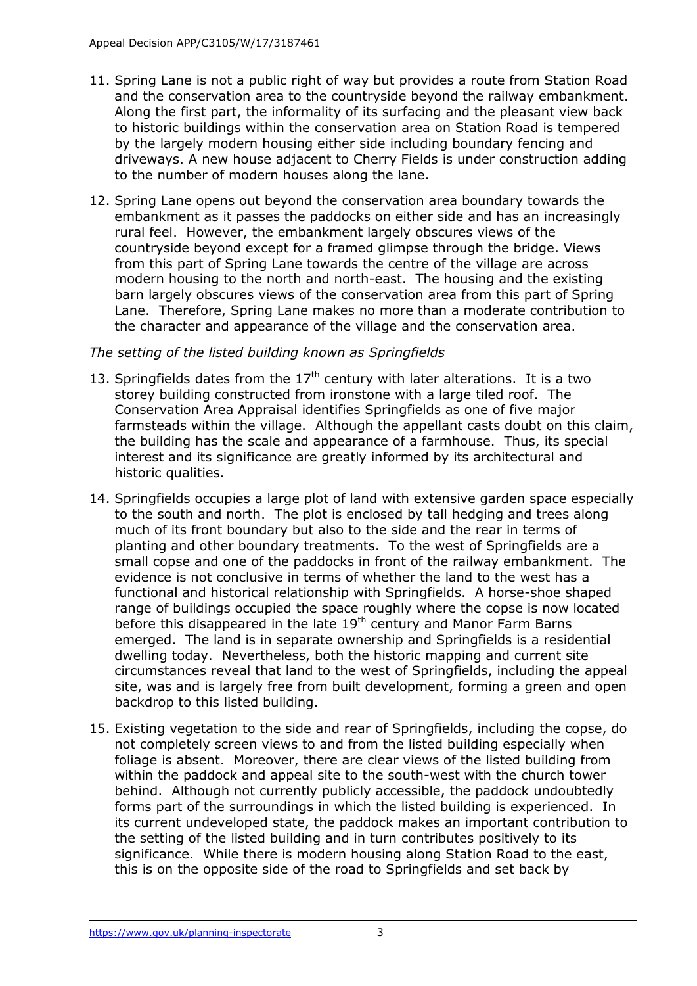- 11. Spring Lane is not a public right of way but provides a route from Station Road and the conservation area to the countryside beyond the railway embankment. Along the first part, the informality of its surfacing and the pleasant view back to historic buildings within the conservation area on Station Road is tempered by the largely modern housing either side including boundary fencing and driveways. A new house adjacent to Cherry Fields is under construction adding to the number of modern houses along the lane.
- 12. Spring Lane opens out beyond the conservation area boundary towards the embankment as it passes the paddocks on either side and has an increasingly rural feel. However, the embankment largely obscures views of the countryside beyond except for a framed glimpse through the bridge. Views from this part of Spring Lane towards the centre of the village are across modern housing to the north and north-east. The housing and the existing barn largely obscures views of the conservation area from this part of Spring Lane. Therefore, Spring Lane makes no more than a moderate contribution to the character and appearance of the village and the conservation area.

## *The setting of the listed building known as Springfields*

- 13. Springfields dates from the  $17<sup>th</sup>$  century with later alterations. It is a two storey building constructed from ironstone with a large tiled roof. The Conservation Area Appraisal identifies Springfields as one of five major farmsteads within the village. Although the appellant casts doubt on this claim, the building has the scale and appearance of a farmhouse. Thus, its special interest and its significance are greatly informed by its architectural and historic qualities.
- 14. Springfields occupies a large plot of land with extensive garden space especially to the south and north. The plot is enclosed by tall hedging and trees along much of its front boundary but also to the side and the rear in terms of planting and other boundary treatments. To the west of Springfields are a small copse and one of the paddocks in front of the railway embankment. The evidence is not conclusive in terms of whether the land to the west has a functional and historical relationship with Springfields. A horse-shoe shaped range of buildings occupied the space roughly where the copse is now located before this disappeared in the late 19<sup>th</sup> century and Manor Farm Barns emerged. The land is in separate ownership and Springfields is a residential dwelling today. Nevertheless, both the historic mapping and current site circumstances reveal that land to the west of Springfields, including the appeal site, was and is largely free from built development, forming a green and open backdrop to this listed building.
- 15. Existing vegetation to the side and rear of Springfields, including the copse, do not completely screen views to and from the listed building especially when foliage is absent. Moreover, there are clear views of the listed building from within the paddock and appeal site to the south-west with the church tower behind. Although not currently publicly accessible, the paddock undoubtedly forms part of the surroundings in which the listed building is experienced. In its current undeveloped state, the paddock makes an important contribution to the setting of the listed building and in turn contributes positively to its significance. While there is modern housing along Station Road to the east, this is on the opposite side of the road to Springfields and set back by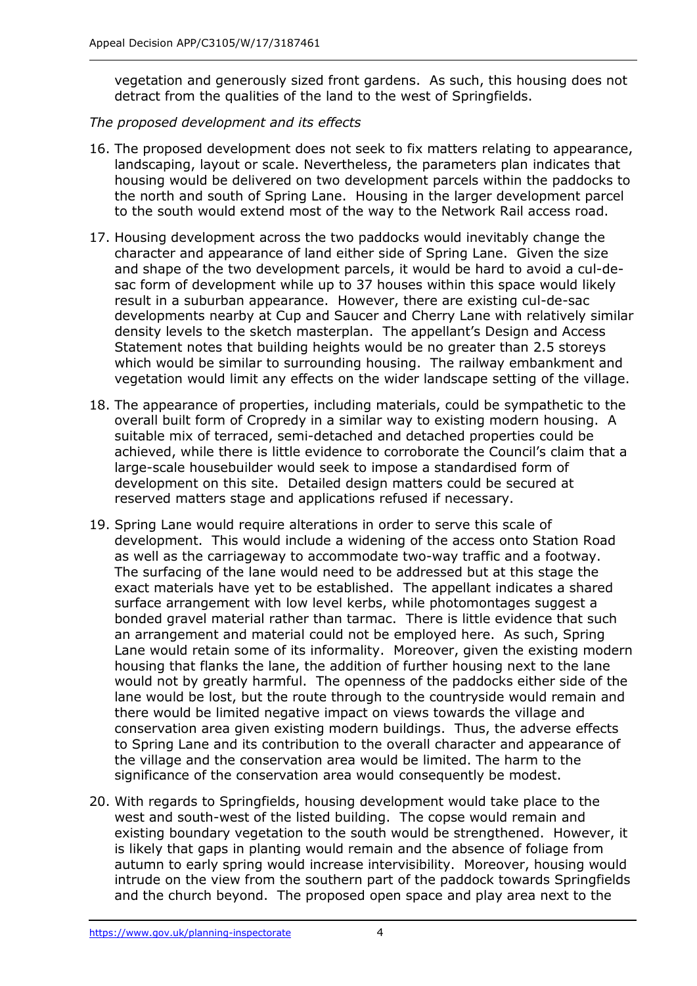vegetation and generously sized front gardens. As such, this housing does not detract from the qualities of the land to the west of Springfields.

## *The proposed development and its effects*

- 16. The proposed development does not seek to fix matters relating to appearance, landscaping, layout or scale. Nevertheless, the parameters plan indicates that housing would be delivered on two development parcels within the paddocks to the north and south of Spring Lane. Housing in the larger development parcel to the south would extend most of the way to the Network Rail access road.
- 17. Housing development across the two paddocks would inevitably change the character and appearance of land either side of Spring Lane. Given the size and shape of the two development parcels, it would be hard to avoid a cul-desac form of development while up to 37 houses within this space would likely result in a suburban appearance. However, there are existing cul-de-sac developments nearby at Cup and Saucer and Cherry Lane with relatively similar density levels to the sketch masterplan. The appellant's Design and Access Statement notes that building heights would be no greater than 2.5 storeys which would be similar to surrounding housing. The railway embankment and vegetation would limit any effects on the wider landscape setting of the village.
- 18. The appearance of properties, including materials, could be sympathetic to the overall built form of Cropredy in a similar way to existing modern housing. A suitable mix of terraced, semi-detached and detached properties could be achieved, while there is little evidence to corroborate the Council's claim that a large-scale housebuilder would seek to impose a standardised form of development on this site. Detailed design matters could be secured at reserved matters stage and applications refused if necessary.
- 19. Spring Lane would require alterations in order to serve this scale of development. This would include a widening of the access onto Station Road as well as the carriageway to accommodate two-way traffic and a footway. The surfacing of the lane would need to be addressed but at this stage the exact materials have yet to be established. The appellant indicates a shared surface arrangement with low level kerbs, while photomontages suggest a bonded gravel material rather than tarmac. There is little evidence that such an arrangement and material could not be employed here. As such, Spring Lane would retain some of its informality. Moreover, given the existing modern housing that flanks the lane, the addition of further housing next to the lane would not by greatly harmful. The openness of the paddocks either side of the lane would be lost, but the route through to the countryside would remain and there would be limited negative impact on views towards the village and conservation area given existing modern buildings. Thus, the adverse effects to Spring Lane and its contribution to the overall character and appearance of the village and the conservation area would be limited. The harm to the significance of the conservation area would consequently be modest.
- 20. With regards to Springfields, housing development would take place to the west and south-west of the listed building. The copse would remain and existing boundary vegetation to the south would be strengthened. However, it is likely that gaps in planting would remain and the absence of foliage from autumn to early spring would increase intervisibility. Moreover, housing would intrude on the view from the southern part of the paddock towards Springfields and the church beyond. The proposed open space and play area next to the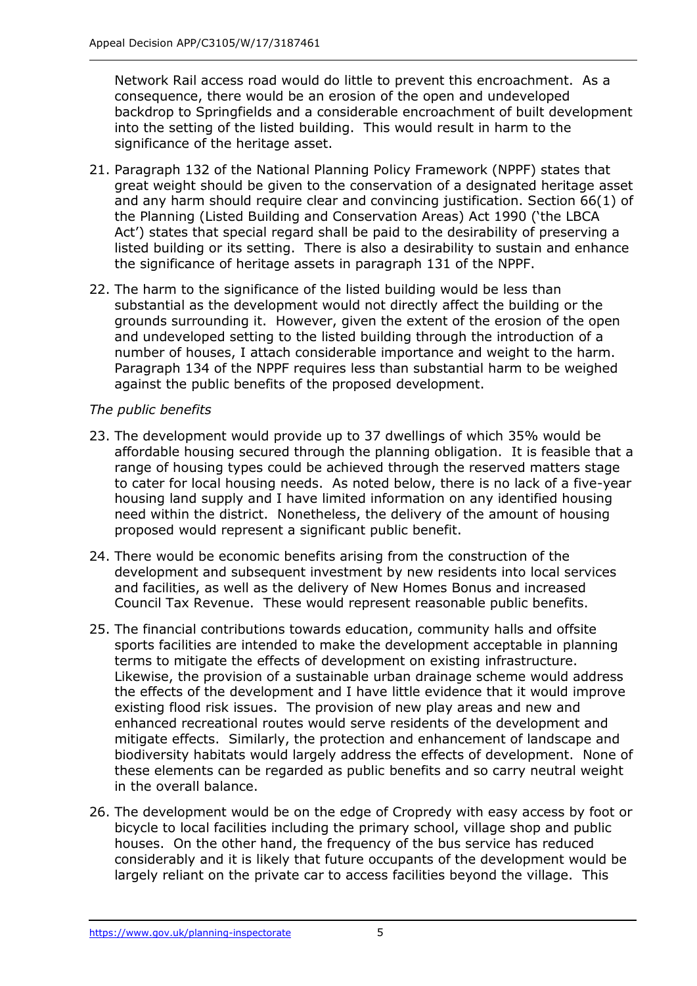Network Rail access road would do little to prevent this encroachment. As a consequence, there would be an erosion of the open and undeveloped backdrop to Springfields and a considerable encroachment of built development into the setting of the listed building. This would result in harm to the significance of the heritage asset.

- 21. Paragraph 132 of the National Planning Policy Framework (NPPF) states that great weight should be given to the conservation of a designated heritage asset and any harm should require clear and convincing justification. Section 66(1) of the Planning (Listed Building and Conservation Areas) Act 1990 ('the LBCA Act') states that special regard shall be paid to the desirability of preserving a listed building or its setting. There is also a desirability to sustain and enhance the significance of heritage assets in paragraph 131 of the NPPF.
- 22. The harm to the significance of the listed building would be less than substantial as the development would not directly affect the building or the grounds surrounding it. However, given the extent of the erosion of the open and undeveloped setting to the listed building through the introduction of a number of houses, I attach considerable importance and weight to the harm. Paragraph 134 of the NPPF requires less than substantial harm to be weighed against the public benefits of the proposed development.

# *The public benefits*

- 23. The development would provide up to 37 dwellings of which 35% would be affordable housing secured through the planning obligation. It is feasible that a range of housing types could be achieved through the reserved matters stage to cater for local housing needs. As noted below, there is no lack of a five-year housing land supply and I have limited information on any identified housing need within the district. Nonetheless, the delivery of the amount of housing proposed would represent a significant public benefit.
- 24. There would be economic benefits arising from the construction of the development and subsequent investment by new residents into local services and facilities, as well as the delivery of New Homes Bonus and increased Council Tax Revenue. These would represent reasonable public benefits.
- 25. The financial contributions towards education, community halls and offsite sports facilities are intended to make the development acceptable in planning terms to mitigate the effects of development on existing infrastructure. Likewise, the provision of a sustainable urban drainage scheme would address the effects of the development and I have little evidence that it would improve existing flood risk issues. The provision of new play areas and new and enhanced recreational routes would serve residents of the development and mitigate effects. Similarly, the protection and enhancement of landscape and biodiversity habitats would largely address the effects of development. None of these elements can be regarded as public benefits and so carry neutral weight in the overall balance.
- 26. The development would be on the edge of Cropredy with easy access by foot or bicycle to local facilities including the primary school, village shop and public houses. On the other hand, the frequency of the bus service has reduced considerably and it is likely that future occupants of the development would be largely reliant on the private car to access facilities beyond the village. This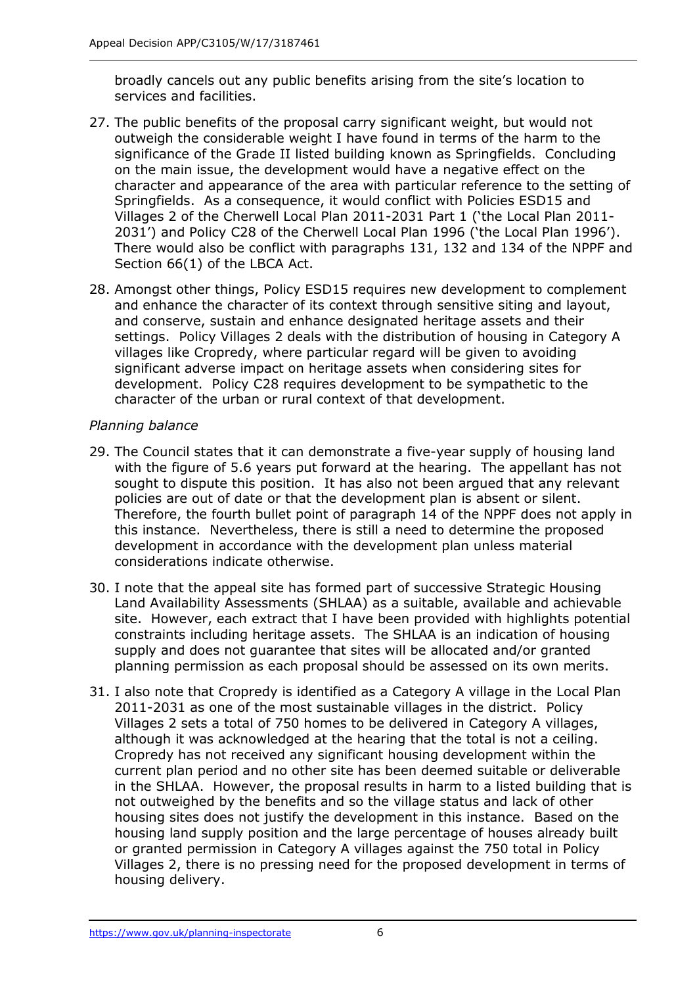broadly cancels out any public benefits arising from the site's location to services and facilities.

- 27. The public benefits of the proposal carry significant weight, but would not outweigh the considerable weight I have found in terms of the harm to the significance of the Grade II listed building known as Springfields. Concluding on the main issue, the development would have a negative effect on the character and appearance of the area with particular reference to the setting of Springfields. As a consequence, it would conflict with Policies ESD15 and Villages 2 of the Cherwell Local Plan 2011-2031 Part 1 ('the Local Plan 2011- 2031') and Policy C28 of the Cherwell Local Plan 1996 ('the Local Plan 1996'). There would also be conflict with paragraphs 131, 132 and 134 of the NPPF and Section 66(1) of the LBCA Act.
- 28. Amongst other things, Policy ESD15 requires new development to complement and enhance the character of its context through sensitive siting and layout, and conserve, sustain and enhance designated heritage assets and their settings. Policy Villages 2 deals with the distribution of housing in Category A villages like Cropredy, where particular regard will be given to avoiding significant adverse impact on heritage assets when considering sites for development. Policy C28 requires development to be sympathetic to the character of the urban or rural context of that development.

## *Planning balance*

- 29. The Council states that it can demonstrate a five-year supply of housing land with the figure of 5.6 years put forward at the hearing. The appellant has not sought to dispute this position. It has also not been argued that any relevant policies are out of date or that the development plan is absent or silent. Therefore, the fourth bullet point of paragraph 14 of the NPPF does not apply in this instance. Nevertheless, there is still a need to determine the proposed development in accordance with the development plan unless material considerations indicate otherwise.
- 30. I note that the appeal site has formed part of successive Strategic Housing Land Availability Assessments (SHLAA) as a suitable, available and achievable site. However, each extract that I have been provided with highlights potential constraints including heritage assets. The SHLAA is an indication of housing supply and does not guarantee that sites will be allocated and/or granted planning permission as each proposal should be assessed on its own merits.
- 31. I also note that Cropredy is identified as a Category A village in the Local Plan 2011-2031 as one of the most sustainable villages in the district. Policy Villages 2 sets a total of 750 homes to be delivered in Category A villages, although it was acknowledged at the hearing that the total is not a ceiling. Cropredy has not received any significant housing development within the current plan period and no other site has been deemed suitable or deliverable in the SHLAA. However, the proposal results in harm to a listed building that is not outweighed by the benefits and so the village status and lack of other housing sites does not justify the development in this instance. Based on the housing land supply position and the large percentage of houses already built or granted permission in Category A villages against the 750 total in Policy Villages 2, there is no pressing need for the proposed development in terms of housing delivery.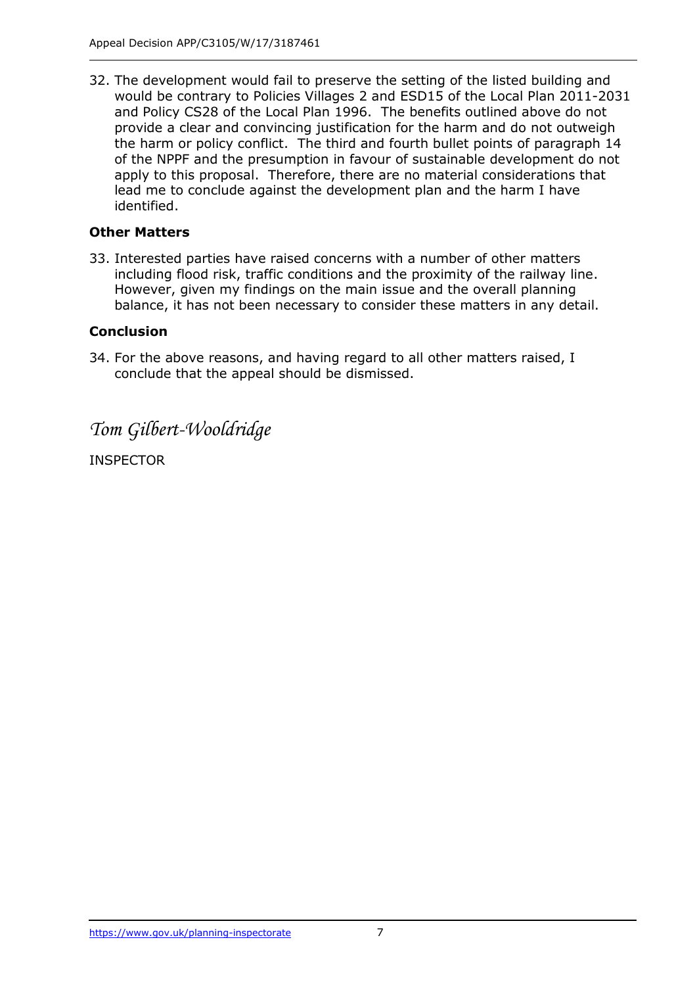32. The development would fail to preserve the setting of the listed building and would be contrary to Policies Villages 2 and ESD15 of the Local Plan 2011-2031 and Policy CS28 of the Local Plan 1996. The benefits outlined above do not provide a clear and convincing justification for the harm and do not outweigh the harm or policy conflict. The third and fourth bullet points of paragraph 14 of the NPPF and the presumption in favour of sustainable development do not apply to this proposal. Therefore, there are no material considerations that lead me to conclude against the development plan and the harm I have identified.

## **Other Matters**

33. Interested parties have raised concerns with a number of other matters including flood risk, traffic conditions and the proximity of the railway line. However, given my findings on the main issue and the overall planning balance, it has not been necessary to consider these matters in any detail.

## **Conclusion**

34. For the above reasons, and having regard to all other matters raised, I conclude that the appeal should be dismissed.

*Tom Gilbert-Wooldridge*

INSPECTOR